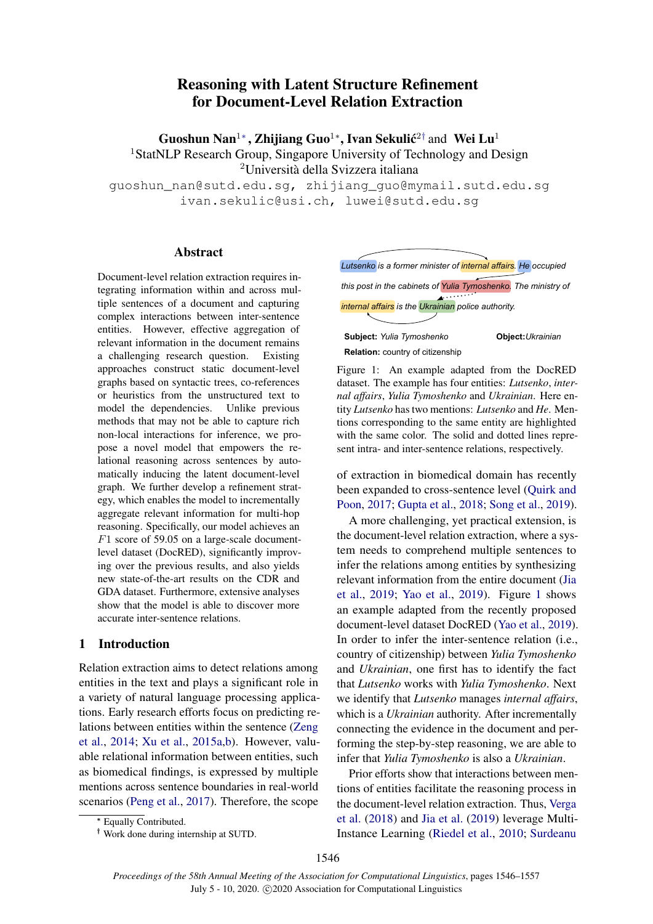# Reasoning with Latent Structure Refinement for Document-Level Relation Extraction

Guoshun Nan<sup>1</sup>\*, Zhijiang Guo<sup>1</sup>\*, Ivan Sekulić<sup>2†</sup> and Wei Lu<sup>1</sup> <sup>1</sup>StatNLP Research Group, Singapore University of Technology and Design <sup>2</sup>Università della Svizzera italiana

guoshun\_nan@sutd.edu.sg, zhijiang\_guo@mymail.sutd.edu.sg ivan.sekulic@usi.ch, luwei@sutd.edu.sg

# Abstract

Document-level relation extraction requires integrating information within and across multiple sentences of a document and capturing complex interactions between inter-sentence entities. However, effective aggregation of relevant information in the document remains a challenging research question. Existing approaches construct static document-level graphs based on syntactic trees, co-references or heuristics from the unstructured text to model the dependencies. Unlike previous methods that may not be able to capture rich non-local interactions for inference, we propose a novel model that empowers the relational reasoning across sentences by automatically inducing the latent document-level graph. We further develop a refinement strategy, which enables the model to incrementally aggregate relevant information for multi-hop reasoning. Specifically, our model achieves an F1 score of 59.05 on a large-scale documentlevel dataset (DocRED), significantly improving over the previous results, and also yields new state-of-the-art results on the CDR and GDA dataset. Furthermore, extensive analyses show that the model is able to discover more accurate inter-sentence relations.

# 1 Introduction

Relation extraction aims to detect relations among entities in the text and plays a significant role in a variety of natural language processing applications. Early research efforts focus on predicting relations between entities within the sentence [\(Zeng](#page-11-0) [et al.,](#page-11-0) [2014;](#page-11-0) [Xu et al.,](#page-11-1) [2015a](#page-11-1)[,b\)](#page-11-2). However, valuable relational information between entities, such as biomedical findings, is expressed by multiple mentions across sentence boundaries in real-world scenarios [\(Peng et al.,](#page-10-0) [2017\)](#page-10-0). Therefore, the scope

<span id="page-0-0"></span>*Lutsenko is a former minister of internal affairs. He occupied this post in the cabinets of Yulia Tymoshenko. The ministry of internal affairs is the Ukrainian police authority.* **Subject:** *Yulia Tymoshenko* **Object:***Ukrainian* **Relation:** country of citizenship

Figure 1: An example adapted from the DocRED dataset. The example has four entities: *Lutsenko*, *internal affairs*, *Yulia Tymoshenko* and *Ukrainian*. Here entity *Lutsenko* has two mentions: *Lutsenko* and *He*. Mentions corresponding to the same entity are highlighted with the same color. The solid and dotted lines represent intra- and inter-sentence relations, respectively.

of extraction in biomedical domain has recently been expanded to cross-sentence level [\(Quirk and](#page-10-1) [Poon,](#page-10-1) [2017;](#page-10-1) [Gupta et al.,](#page-9-0) [2018;](#page-9-0) [Song et al.,](#page-10-2) [2019\)](#page-10-2).

A more challenging, yet practical extension, is the document-level relation extraction, where a system needs to comprehend multiple sentences to infer the relations among entities by synthesizing relevant information from the entire document [\(Jia](#page-9-1) [et al.,](#page-9-1) [2019;](#page-9-1) [Yao et al.,](#page-11-3) [2019\)](#page-11-3). Figure [1](#page-0-0) shows an example adapted from the recently proposed document-level dataset DocRED [\(Yao et al.,](#page-11-3) [2019\)](#page-11-3). In order to infer the inter-sentence relation (i.e., country of citizenship) between *Yulia Tymoshenko* and *Ukrainian*, one first has to identify the fact that *Lutsenko* works with *Yulia Tymoshenko*. Next we identify that *Lutsenko* manages *internal affairs*, which is a *Ukrainian* authority. After incrementally connecting the evidence in the document and performing the step-by-step reasoning, we are able to infer that *Yulia Tymoshenko* is also a *Ukrainian*.

Prior efforts show that interactions between mentions of entities facilitate the reasoning process in the document-level relation extraction. Thus, [Verga](#page-10-3) [et al.](#page-10-3) [\(2018\)](#page-10-3) and [Jia et al.](#page-9-1) [\(2019\)](#page-9-1) leverage Multi-Instance Learning [\(Riedel et al.,](#page-10-4) [2010;](#page-10-4) [Surdeanu](#page-10-5)

<sup>∗</sup> Equally Contributed.

<sup>†</sup> Work done during internship at SUTD.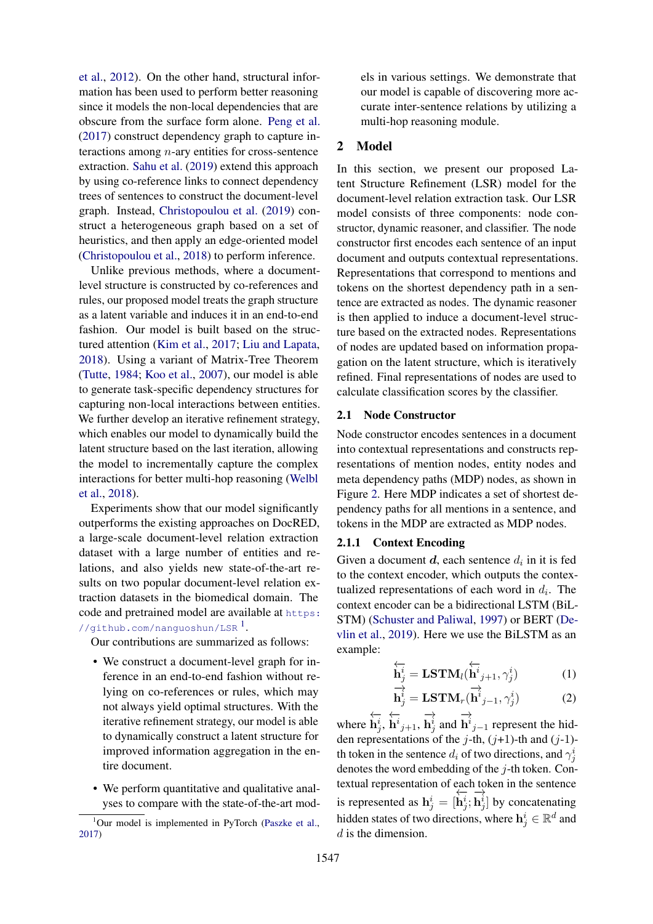[et al.,](#page-10-5) [2012\)](#page-10-5). On the other hand, structural information has been used to perform better reasoning since it models the non-local dependencies that are obscure from the surface form alone. [Peng et al.](#page-10-0) [\(2017\)](#page-10-0) construct dependency graph to capture interactions among  $n$ -ary entities for cross-sentence extraction. [Sahu et al.](#page-10-6) [\(2019\)](#page-10-6) extend this approach by using co-reference links to connect dependency trees of sentences to construct the document-level graph. Instead, [Christopoulou et al.](#page-9-2) [\(2019\)](#page-9-2) construct a heterogeneous graph based on a set of heuristics, and then apply an edge-oriented model [\(Christopoulou et al.,](#page-9-3) [2018\)](#page-9-3) to perform inference.

Unlike previous methods, where a documentlevel structure is constructed by co-references and rules, our proposed model treats the graph structure as a latent variable and induces it in an end-to-end fashion. Our model is built based on the structured attention [\(Kim et al.,](#page-9-4) [2017;](#page-9-4) [Liu and Lapata,](#page-9-5) [2018\)](#page-9-5). Using a variant of Matrix-Tree Theorem [\(Tutte,](#page-10-7) [1984;](#page-10-7) [Koo et al.,](#page-9-6) [2007\)](#page-9-6), our model is able to generate task-specific dependency structures for capturing non-local interactions between entities. We further develop an iterative refinement strategy, which enables our model to dynamically build the latent structure based on the last iteration, allowing the model to incrementally capture the complex interactions for better multi-hop reasoning [\(Welbl](#page-10-8) [et al.,](#page-10-8) [2018\)](#page-10-8).

Experiments show that our model significantly outperforms the existing approaches on DocRED, a large-scale document-level relation extraction dataset with a large number of entities and relations, and also yields new state-of-the-art results on two popular document-level relation extraction datasets in the biomedical domain. The code and pretrained model are available at [https:](https://github.com/nanguoshun/LSR)  $\frac{1}{\sqrt{2}}$  $\frac{1}{\sqrt{2}}$  $\frac{1}{\sqrt{2}}$  [//github.com/nanguoshun/LSR](https://github.com/nanguoshun/LSR)  $^1$ .

Our contributions are summarized as follows:

- We construct a document-level graph for inference in an end-to-end fashion without relying on co-references or rules, which may not always yield optimal structures. With the iterative refinement strategy, our model is able to dynamically construct a latent structure for improved information aggregation in the entire document.
- We perform quantitative and qualitative analyses to compare with the state-of-the-art mod-

els in various settings. We demonstrate that our model is capable of discovering more accurate inter-sentence relations by utilizing a multi-hop reasoning module.

# 2 Model

In this section, we present our proposed Latent Structure Refinement (LSR) model for the document-level relation extraction task. Our LSR model consists of three components: node constructor, dynamic reasoner, and classifier. The node constructor first encodes each sentence of an input document and outputs contextual representations. Representations that correspond to mentions and tokens on the shortest dependency path in a sentence are extracted as nodes. The dynamic reasoner is then applied to induce a document-level structure based on the extracted nodes. Representations of nodes are updated based on information propagation on the latent structure, which is iteratively refined. Final representations of nodes are used to calculate classification scores by the classifier.

# 2.1 Node Constructor

Node constructor encodes sentences in a document into contextual representations and constructs representations of mention nodes, entity nodes and meta dependency paths (MDP) nodes, as shown in Figure [2.](#page-2-0) Here MDP indicates a set of shortest dependency paths for all mentions in a sentence, and tokens in the MDP are extracted as MDP nodes.

# 2.1.1 Context Encoding

Given a document  $d$ , each sentence  $d_i$  in it is fed to the context encoder, which outputs the contextualized representations of each word in  $d_i$ . The context encoder can be a bidirectional LSTM (BiL-STM) [\(Schuster and Paliwal,](#page-10-10) [1997\)](#page-10-10) or BERT [\(De](#page-9-7)[vlin et al.,](#page-9-7) [2019\)](#page-9-7). Here we use the BiLSTM as an example:

$$
\overleftarrow{\mathbf{h}_{j}^{i}} = \mathbf{LSTM}_{l}(\overleftarrow{\mathbf{h}_{j+1}}^{i}, \gamma_{j}^{i})
$$
(1)

$$
\overrightarrow{\mathbf{h}_{j}^{i}} = \mathbf{LSTM}_{r}(\overrightarrow{\mathbf{h}}_{j-1}^{i}, \gamma_{j}^{i})
$$
 (2)

where ←−  $\dot{\mathbf{h}}^i_j,$ ←−  $\dot{\mathbf{h}}^{i}{}_{j+1},$ −→  $\mathbf{h}_j^i$  and −→  $h^{i}_{j-1}$  represent the hidden representations of the j-th,  $(j+1)$ -th and  $(j-1)$ th token in the sentence  $d_i$  of two directions, and  $\gamma_j^i$ denotes the word embedding of the  $i$ -th token. Contextual representation of each token in the sentence is represented as  $h_j^i = [$ ←−  $\mathbf{h}^i_j;$ −→  $\mathbf{h}_j^i$  by concatenating hidden states of two directions, where  $\mathbf{h}^i_j \in \mathbb{R}^d$  and d is the dimension.

<span id="page-1-0"></span> $1$ Our model is implemented in PyTorch [\(Paszke et al.,](#page-10-9) [2017\)](#page-10-9)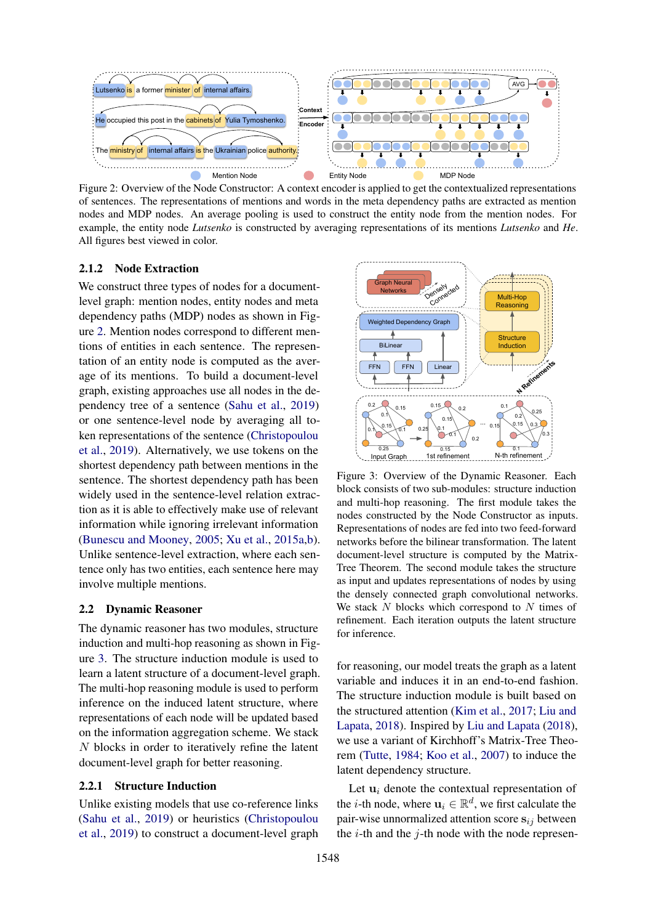<span id="page-2-0"></span>

Figure 2: Overview of the Node Constructor: A context encoder is applied to get the contextualized representations of sentences. The representations of mentions and words in the meta dependency paths are extracted as mention nodes and MDP nodes. An average pooling is used to construct the entity node from the mention nodes. For example, the entity node *Lutsenko* is constructed by averaging representations of its mentions *Lutsenko* and *He*. All figures best viewed in color.

## 2.1.2 Node Extraction

We construct three types of nodes for a documentlevel graph: mention nodes, entity nodes and meta dependency paths (MDP) nodes as shown in Figure [2.](#page-2-0) Mention nodes correspond to different mentions of entities in each sentence. The representation of an entity node is computed as the average of its mentions. To build a document-level graph, existing approaches use all nodes in the dependency tree of a sentence [\(Sahu et al.,](#page-10-6) [2019\)](#page-10-6) or one sentence-level node by averaging all token representations of the sentence [\(Christopoulou](#page-9-2) [et al.,](#page-9-2) [2019\)](#page-9-2). Alternatively, we use tokens on the shortest dependency path between mentions in the sentence. The shortest dependency path has been widely used in the sentence-level relation extraction as it is able to effectively make use of relevant information while ignoring irrelevant information [\(Bunescu and Mooney,](#page-9-8) [2005;](#page-9-8) [Xu et al.,](#page-11-1) [2015a](#page-11-1)[,b\)](#page-11-2). Unlike sentence-level extraction, where each sentence only has two entities, each sentence here may involve multiple mentions.

#### 2.2 Dynamic Reasoner

The dynamic reasoner has two modules, structure induction and multi-hop reasoning as shown in Figure [3.](#page-2-1) The structure induction module is used to learn a latent structure of a document-level graph. The multi-hop reasoning module is used to perform inference on the induced latent structure, where representations of each node will be updated based on the information aggregation scheme. We stack N blocks in order to iteratively refine the latent document-level graph for better reasoning.

### 2.2.1 Structure Induction

Unlike existing models that use co-reference links [\(Sahu et al.,](#page-10-6) [2019\)](#page-10-6) or heuristics [\(Christopoulou](#page-9-2) [et al.,](#page-9-2) [2019\)](#page-9-2) to construct a document-level graph

<span id="page-2-1"></span>

Figure 3: Overview of the Dynamic Reasoner. Each block consists of two sub-modules: structure induction and multi-hop reasoning. The first module takes the nodes constructed by the Node Constructor as inputs. Representations of nodes are fed into two feed-forward networks before the bilinear transformation. The latent document-level structure is computed by the Matrix-Tree Theorem. The second module takes the structure as input and updates representations of nodes by using the densely connected graph convolutional networks. We stack  $N$  blocks which correspond to  $N$  times of refinement. Each iteration outputs the latent structure for inference.

for reasoning, our model treats the graph as a latent variable and induces it in an end-to-end fashion. The structure induction module is built based on the structured attention [\(Kim et al.,](#page-9-4) [2017;](#page-9-4) [Liu and](#page-9-5) [Lapata,](#page-9-5) [2018\)](#page-9-5). Inspired by [Liu and Lapata](#page-9-5) [\(2018\)](#page-9-5), we use a variant of Kirchhoff's Matrix-Tree Theorem [\(Tutte,](#page-10-7) [1984;](#page-10-7) [Koo et al.,](#page-9-6) [2007\)](#page-9-6) to induce the latent dependency structure.

Let  $\mathbf{u}_i$  denote the contextual representation of the *i*-th node, where  $\mathbf{u}_i \in \mathbb{R}^d$ , we first calculate the pair-wise unnormalized attention score  $s_{ij}$  between the  $i$ -th and the  $j$ -th node with the node represen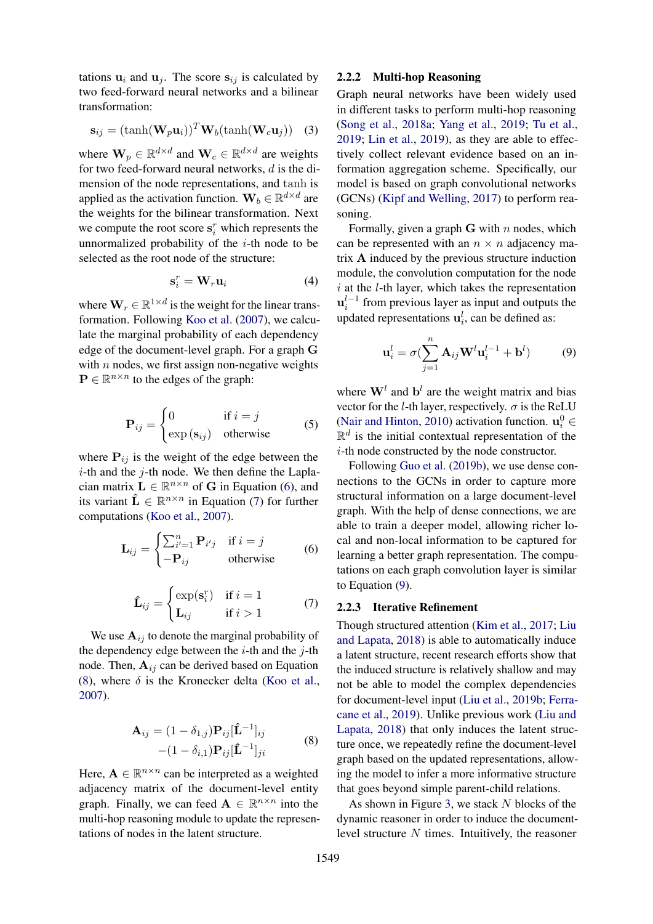tations  $\mathbf{u}_i$  and  $\mathbf{u}_j$ . The score  $\mathbf{s}_{ij}$  is calculated by two feed-forward neural networks and a bilinear transformation:

$$
\mathbf{s}_{ij} = (\tanh(\mathbf{W}_p \mathbf{u}_i))^T \mathbf{W}_b(\tanh(\mathbf{W}_c \mathbf{u}_j))
$$
 (3)

where  $\mathbf{W}_p \in \mathbb{R}^{d \times d}$  and  $\mathbf{W}_c \in \mathbb{R}^{d \times d}$  are weights for two feed-forward neural networks, d is the dimension of the node representations, and tanh is applied as the activation function.  $\mathbf{W}_b \in \mathbb{R}^{d \times d}$  are the weights for the bilinear transformation. Next we compute the root score  $\mathbf{s}_i^r$  which represents the unnormalized probability of the  $i$ -th node to be selected as the root node of the structure:

$$
\mathbf{s}_i^r = \mathbf{W}_r \mathbf{u}_i \tag{4}
$$

where  $\mathbf{W}_r \in \mathbb{R}^{1 \times d}$  is the weight for the linear transformation. Following [Koo et al.](#page-9-6) [\(2007\)](#page-9-6), we calculate the marginal probability of each dependency edge of the document-level graph. For a graph G with  $n$  nodes, we first assign non-negative weights  $\mathbf{P} \in \mathbb{R}^{n \times n}$  to the edges of the graph:

$$
\mathbf{P}_{ij} = \begin{cases} 0 & \text{if } i = j \\ \exp(\mathbf{s}_{ij}) & \text{otherwise} \end{cases}
$$
 (5)

where  $P_{ij}$  is the weight of the edge between the  $i$ -th and the  $j$ -th node. We then define the Laplacian matrix  $L \in \mathbb{R}^{n \times n}$  of G in Equation [\(6\)](#page-3-0), and its variant  $\hat{\mathbf{L}} \in \mathbb{R}^{n \times n}$  in Equation [\(7\)](#page-3-1) for further computations [\(Koo et al.,](#page-9-6) [2007\)](#page-9-6).

$$
\mathbf{L}_{ij} = \begin{cases} \sum_{i'=1}^{n} \mathbf{P}_{i'j} & \text{if } i = j \\ -\mathbf{P}_{ij} & \text{otherwise} \end{cases}
$$
 (6)

$$
\hat{\mathbf{L}}_{ij} = \begin{cases}\n\exp(\mathbf{s}_i^r) & \text{if } i = 1 \\
\mathbf{L}_{ij} & \text{if } i > 1\n\end{cases} (7)
$$

We use  $A_{ij}$  to denote the marginal probability of the dependency edge between the  $i$ -th and the  $j$ -th node. Then,  $A_{ij}$  can be derived based on Equation [\(8\)](#page-3-2), where  $\delta$  is the Kronecker delta [\(Koo et al.,](#page-9-6) [2007\)](#page-9-6).

$$
\mathbf{A}_{ij} = (1 - \delta_{1,j}) \mathbf{P}_{ij} [\mathbf{\hat{L}}^{-1}]_{ij}
$$
  
 
$$
- (1 - \delta_{i,1}) \mathbf{P}_{ij} [\mathbf{\hat{L}}^{-1}]_{ji}
$$
 (8)

Here,  $A \in \mathbb{R}^{n \times n}$  can be interpreted as a weighted adjacency matrix of the document-level entity graph. Finally, we can feed  $A \in \mathbb{R}^{n \times n}$  into the multi-hop reasoning module to update the representations of nodes in the latent structure.

# 2.2.2 Multi-hop Reasoning

Graph neural networks have been widely used in different tasks to perform multi-hop reasoning [\(Song et al.,](#page-10-11) [2018a;](#page-10-11) [Yang et al.,](#page-11-4) [2019;](#page-11-4) [Tu et al.,](#page-10-12) [2019;](#page-10-12) [Lin et al.,](#page-9-9) [2019\)](#page-9-9), as they are able to effectively collect relevant evidence based on an information aggregation scheme. Specifically, our model is based on graph convolutional networks (GCNs) [\(Kipf and Welling,](#page-9-10) [2017\)](#page-9-10) to perform reasoning.

Formally, given a graph  $G$  with n nodes, which can be represented with an  $n \times n$  adjacency matrix A induced by the previous structure induction module, the convolution computation for the node  $i$  at the  $l$ -th layer, which takes the representation  $\mathbf{u}_i^{l-1}$  from previous layer as input and outputs the updated representations  $\mathbf{u}_i^l$ , can be defined as:

<span id="page-3-3"></span>
$$
\mathbf{u}_i^l = \sigma(\sum_{j=1}^n \mathbf{A}_{ij} \mathbf{W}^l \mathbf{u}_i^{l-1} + \mathbf{b}^l)
$$
 (9)

where  $\mathbf{W}^l$  and  $\mathbf{b}^l$  are the weight matrix and bias vector for the *l*-th layer, respectively.  $\sigma$  is the ReLU [\(Nair and Hinton,](#page-10-13) [2010\)](#page-10-13) activation function.  $\mathbf{u}_i^0 \in$  $\mathbb{R}^d$  is the initial contextual representation of the i-th node constructed by the node constructor.

Following [Guo et al.](#page-9-11) [\(2019b\)](#page-9-11), we use dense connections to the GCNs in order to capture more structural information on a large document-level graph. With the help of dense connections, we are able to train a deeper model, allowing richer local and non-local information to be captured for learning a better graph representation. The computations on each graph convolution layer is similar to Equation [\(9\)](#page-3-3).

# <span id="page-3-1"></span><span id="page-3-0"></span>2.2.3 Iterative Refinement

Though structured attention [\(Kim et al.,](#page-9-4) [2017;](#page-9-4) [Liu](#page-9-5) [and Lapata,](#page-9-5) [2018\)](#page-9-5) is able to automatically induce a latent structure, recent research efforts show that the induced structure is relatively shallow and may not be able to model the complex dependencies for document-level input [\(Liu et al.,](#page-9-12) [2019b;](#page-9-12) [Ferra](#page-9-13)[cane et al.,](#page-9-13) [2019\)](#page-9-13). Unlike previous work [\(Liu and](#page-9-5) [Lapata,](#page-9-5) [2018\)](#page-9-5) that only induces the latent structure once, we repeatedly refine the document-level graph based on the updated representations, allowing the model to infer a more informative structure that goes beyond simple parent-child relations.

<span id="page-3-2"></span>As shown in Figure [3,](#page-2-1) we stack  $N$  blocks of the dynamic reasoner in order to induce the documentlevel structure  $N$  times. Intuitively, the reasoner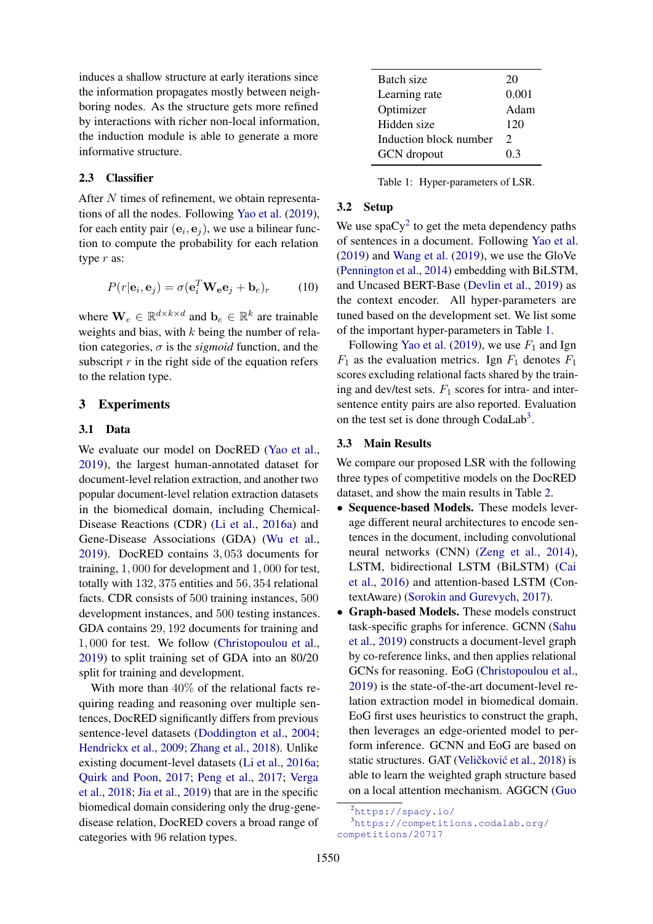induces a shallow structure at early iterations since the information propagates mostly between neighboring nodes. As the structure gets more refined by interactions with richer non-local information, the induction module is able to generate a more informative structure.

# 2.3 Classifier

After N times of refinement, we obtain representations of all the nodes. Following [Yao et al.](#page-11-3) [\(2019\)](#page-11-3), for each entity pair  $(e_i, e_j)$ , we use a bilinear function to compute the probability for each relation type r as:

$$
P(r|\mathbf{e}_i, \mathbf{e}_j) = \sigma(\mathbf{e}_i^T \mathbf{W}_e \mathbf{e}_j + \mathbf{b}_e)_r \tag{10}
$$

where  $\mathbf{W}_e \in \mathbb{R}^{d \times k \times d}$  and  $\mathbf{b}_e \in \mathbb{R}^k$  are trainable weights and bias, with  $k$  being the number of relation categories,  $\sigma$  is the *sigmoid* function, and the subscript  $r$  in the right side of the equation refers to the relation type.

# 3 Experiments

# 3.1 Data

We evaluate our model on DocRED [\(Yao et al.,](#page-11-3) [2019\)](#page-11-3), the largest human-annotated dataset for document-level relation extraction, and another two popular document-level relation extraction datasets in the biomedical domain, including Chemical-Disease Reactions (CDR) [\(Li et al.,](#page-9-14) [2016a\)](#page-9-14) and Gene-Disease Associations (GDA) [\(Wu et al.,](#page-11-5) [2019\)](#page-11-5). DocRED contains 3, 053 documents for training, 1, 000 for development and 1, 000 for test, totally with 132, 375 entities and 56, 354 relational facts. CDR consists of 500 training instances, 500 development instances, and 500 testing instances. GDA contains 29, 192 documents for training and 1, 000 for test. We follow [\(Christopoulou et al.,](#page-9-2) [2019\)](#page-9-2) to split training set of GDA into an 80/20 split for training and development.

With more than 40% of the relational facts requiring reading and reasoning over multiple sentences, DocRED significantly differs from previous sentence-level datasets [\(Doddington et al.,](#page-9-15) [2004;](#page-9-15) [Hendrickx et al.,](#page-9-16) [2009;](#page-9-16) [Zhang et al.,](#page-11-6) [2018\)](#page-11-6). Unlike existing document-level datasets [\(Li et al.,](#page-9-14) [2016a;](#page-9-14) [Quirk and Poon,](#page-10-1) [2017;](#page-10-1) [Peng et al.,](#page-10-0) [2017;](#page-10-0) [Verga](#page-10-3) [et al.,](#page-10-3) [2018;](#page-10-3) [Jia et al.,](#page-9-1) [2019\)](#page-9-1) that are in the specific biomedical domain considering only the drug-genedisease relation, DocRED covers a broad range of categories with 96 relation types.

<span id="page-4-1"></span>

| Batch size             | 20            |
|------------------------|---------------|
| Learning rate          | 0.001         |
| Optimizer              | Adam          |
| Hidden size            | 120           |
| Induction block number | $\mathcal{D}$ |
| <b>GCN</b> dropout     | 03            |

Table 1: Hyper-parameters of LSR.

#### 3.2 Setup

We use spa $Cy^2$  $Cy^2$  to get the meta dependency paths of sentences in a document. Following [Yao et al.](#page-11-3) [\(2019\)](#page-11-3) and [Wang et al.](#page-10-14) [\(2019\)](#page-10-14), we use the GloVe [\(Pennington et al.,](#page-10-15) [2014\)](#page-10-15) embedding with BiLSTM, and Uncased BERT-Base [\(Devlin et al.,](#page-9-7) [2019\)](#page-9-7) as the context encoder. All hyper-parameters are tuned based on the development set. We list some of the important hyper-parameters in Table [1.](#page-4-1)

Following [Yao et al.](#page-11-3) [\(2019\)](#page-11-3), we use  $F_1$  and Ign  $F_1$  as the evaluation metrics. Ign  $F_1$  denotes  $F_1$ scores excluding relational facts shared by the training and dev/test sets.  $F_1$  scores for intra- and intersentence entity pairs are also reported. Evaluation on the test set is done through CodaLab<sup>[3](#page-4-2)</sup>.

#### 3.3 Main Results

We compare our proposed LSR with the following three types of competitive models on the DocRED dataset, and show the main results in Table [2.](#page-5-0)

- Sequence-based Models. These models leverage different neural architectures to encode sentences in the document, including convolutional neural networks (CNN) [\(Zeng et al.,](#page-11-0) [2014\)](#page-11-0), LSTM, bidirectional LSTM (BiLSTM) [\(Cai](#page-9-17) [et al.,](#page-9-17) [2016\)](#page-9-17) and attention-based LSTM (ContextAware) [\(Sorokin and Gurevych,](#page-10-16) [2017\)](#page-10-16).
- Graph-based Models. These models construct task-specific graphs for inference. GCNN [\(Sahu](#page-10-6) [et al.,](#page-10-6) [2019\)](#page-10-6) constructs a document-level graph by co-reference links, and then applies relational GCNs for reasoning. EoG [\(Christopoulou et al.,](#page-9-2) [2019\)](#page-9-2) is the state-of-the-art document-level relation extraction model in biomedical domain. EoG first uses heuristics to construct the graph, then leverages an edge-oriented model to perform inference. GCNN and EoG are based on static structures. GAT (Veličković et al., [2018\)](#page-10-17) is able to learn the weighted graph structure based on a local attention mechanism. AGGCN [\(Guo](#page-9-18)

<span id="page-4-2"></span><span id="page-4-0"></span><sup>2</sup>[https://spacy.io/](#page-9-18)

<sup>3</sup>[https://competitions.codalab.org/](#page-9-18) [competitions/20717](#page-9-18)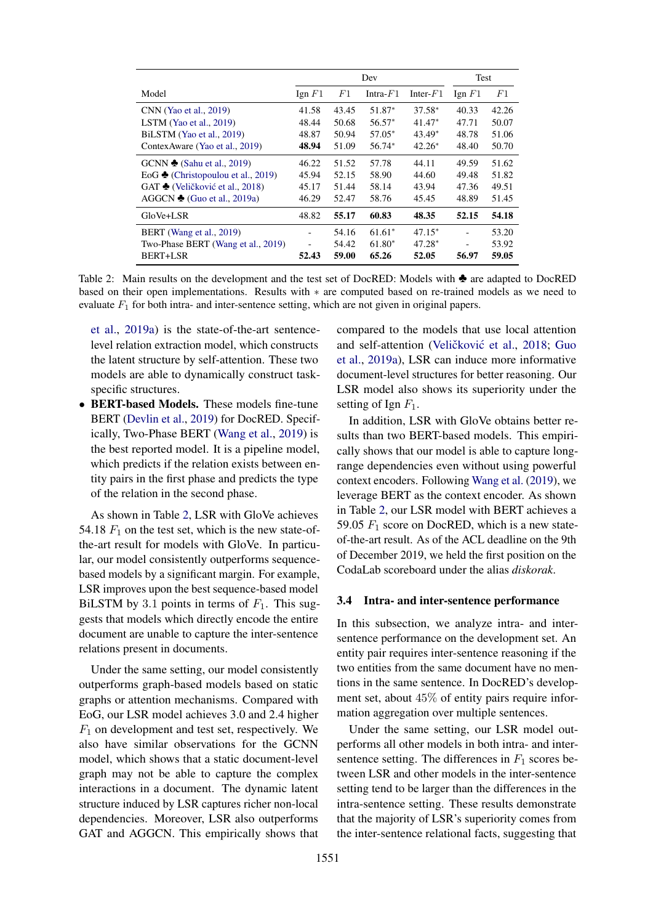<span id="page-5-0"></span>

|                                              | Dev         |       |             | Test        |                  |       |
|----------------------------------------------|-------------|-------|-------------|-------------|------------------|-------|
| Model                                        | $I$ gn $F1$ | F1    | Intra- $F1$ | Inter- $F1$ | $\text{Ign } F1$ | F1    |
| CNN (Yao et al., 2019)                       | 41.58       | 43.45 | 51.87*      | $37.58*$    | 40.33            | 42.26 |
| LSTM (Yao et al., $2019$ )                   | 48.44       | 50.68 | $56.57*$    | $41.47*$    | 47.71            | 50.07 |
| BiLSTM (Yao et al., 2019)                    | 48.87       | 50.94 | 57.05*      | $43.49*$    | 48.78            | 51.06 |
| Contex Aware (Yao et al., 2019)              | 48.94       | 51.09 | 56.74*      | $42.26*$    | 48.40            | 50.70 |
| GCNN $\triangle$ (Sahu et al., 2019)         | 46.22       | 51.52 | 57.78       | 44.11       | 49.59            | 51.62 |
| EoG $\triangle$ (Christopoulou et al., 2019) | 45.94       | 52.15 | 58.90       | 44.60       | 49.48            | 51.82 |
| GAT ♦ (Veličković et al., 2018)              | 45.17       | 51.44 | 58.14       | 43.94       | 47.36            | 49.51 |
| AGGCN $\triangle$ (Guo et al., 2019a)        | 46.29       | 52.47 | 58.76       | 45.45       | 48.89            | 51.45 |
| GloVe+LSR                                    | 48.82       | 55.17 | 60.83       | 48.35       | 52.15            | 54.18 |
| BERT (Wang et al., 2019)                     |             | 54.16 | $61.61*$    | $47.15*$    |                  | 53.20 |
| Two-Phase BERT (Wang et al., 2019)           |             | 54.42 | $61.80*$    | $47.28*$    |                  | 53.92 |
| BERT+LSR                                     | 52.43       | 59.00 | 65.26       | 52.05       | 56.97            | 59.05 |

Table 2: Main results on the development and the test set of DocRED: Models with ♣ are adapted to DocRED based on their open implementations. Results with ∗ are computed based on re-trained models as we need to evaluate  $F_1$  for both intra- and inter-sentence setting, which are not given in original papers.

[et al.,](#page-9-18) [2019a\)](#page-9-18) is the state-of-the-art sentencelevel relation extraction model, which constructs the latent structure by self-attention. These two models are able to dynamically construct taskspecific structures.

• BERT-based Models. These models fine-tune BERT [\(Devlin et al.,](#page-9-7) [2019\)](#page-9-7) for DocRED. Specifically, Two-Phase BERT [\(Wang et al.,](#page-10-14) [2019\)](#page-10-14) is the best reported model. It is a pipeline model, which predicts if the relation exists between entity pairs in the first phase and predicts the type of the relation in the second phase.

As shown in Table [2,](#page-5-0) LSR with GloVe achieves 54.18  $F_1$  on the test set, which is the new state-ofthe-art result for models with GloVe. In particular, our model consistently outperforms sequencebased models by a significant margin. For example, LSR improves upon the best sequence-based model BiLSTM by 3.1 points in terms of  $F_1$ . This suggests that models which directly encode the entire document are unable to capture the inter-sentence relations present in documents.

Under the same setting, our model consistently outperforms graph-based models based on static graphs or attention mechanisms. Compared with EoG, our LSR model achieves 3.0 and 2.4 higher  $F_1$  on development and test set, respectively. We also have similar observations for the GCNN model, which shows that a static document-level graph may not be able to capture the complex interactions in a document. The dynamic latent structure induced by LSR captures richer non-local dependencies. Moreover, LSR also outperforms GAT and AGGCN. This empirically shows that

compared to the models that use local attention and self-attention (Veličković et al., [2018;](#page-10-17) [Guo](#page-9-18) [et al.,](#page-9-18) [2019a\)](#page-9-18), LSR can induce more informative document-level structures for better reasoning. Our LSR model also shows its superiority under the setting of Ign  $F_1$ .

In addition, LSR with GloVe obtains better results than two BERT-based models. This empirically shows that our model is able to capture longrange dependencies even without using powerful context encoders. Following [Wang et al.](#page-10-14) [\(2019\)](#page-10-14), we leverage BERT as the context encoder. As shown in Table [2,](#page-5-0) our LSR model with BERT achieves a 59.05  $F_1$  score on DocRED, which is a new stateof-the-art result. As of the ACL deadline on the 9th of December 2019, we held the first position on the CodaLab scoreboard under the alias *diskorak*.

# 3.4 Intra- and inter-sentence performance

In this subsection, we analyze intra- and intersentence performance on the development set. An entity pair requires inter-sentence reasoning if the two entities from the same document have no mentions in the same sentence. In DocRED's development set, about 45% of entity pairs require information aggregation over multiple sentences.

Under the same setting, our LSR model outperforms all other models in both intra- and intersentence setting. The differences in  $F_1$  scores between LSR and other models in the inter-sentence setting tend to be larger than the differences in the intra-sentence setting. These results demonstrate that the majority of LSR's superiority comes from the inter-sentence relational facts, suggesting that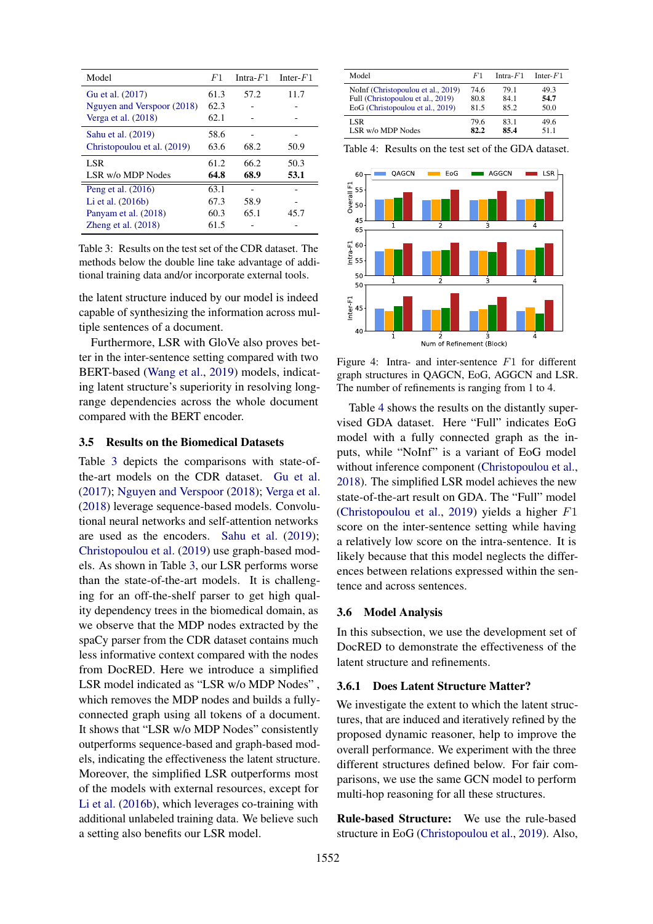<span id="page-6-0"></span>

| Model                       | F1   | Intra- $F1$ | Inter- $F1$ |
|-----------------------------|------|-------------|-------------|
| Gu et al. (2017)            | 61.3 | 57.2        | 11.7        |
| Nguyen and Verspoor (2018)  | 62.3 |             |             |
| Verga et al. $(2018)$       | 62.1 |             |             |
| Sahu et al. (2019)          | 58.6 |             |             |
| Christopoulou et al. (2019) | 63.6 | 68.2        | 50.9        |
| LSR.                        | 61.2 | 66.2        | 50.3        |
| LSR w/o MDP Nodes           | 64.8 | 68.9        | 53.1        |
| Peng et al. (2016)          | 63.1 |             |             |
| Li et al. $(2016b)$         | 67.3 | 58.9        |             |
| Panyam et al. (2018)        | 60.3 | 65.1        | 45.7        |
| Zheng et al. $(2018)$       | 61.5 |             |             |

Table 3: Results on the test set of the CDR dataset. The methods below the double line take advantage of additional training data and/or incorporate external tools.

the latent structure induced by our model is indeed capable of synthesizing the information across multiple sentences of a document.

Furthermore, LSR with GloVe also proves better in the inter-sentence setting compared with two BERT-based [\(Wang et al.,](#page-10-14) [2019\)](#page-10-14) models, indicating latent structure's superiority in resolving longrange dependencies across the whole document compared with the BERT encoder.

### 3.5 Results on the Biomedical Datasets

Table [3](#page-6-0) depicts the comparisons with state-ofthe-art models on the CDR dataset. [Gu et al.](#page-9-19) [\(2017\)](#page-9-19); [Nguyen and Verspoor](#page-10-18) [\(2018\)](#page-10-18); [Verga et al.](#page-10-3) [\(2018\)](#page-10-3) leverage sequence-based models. Convolutional neural networks and self-attention networks are used as the encoders. [Sahu et al.](#page-10-6) [\(2019\)](#page-10-6); [Christopoulou et al.](#page-9-2) [\(2019\)](#page-9-2) use graph-based models. As shown in Table [3,](#page-6-0) our LSR performs worse than the state-of-the-art models. It is challenging for an off-the-shelf parser to get high quality dependency trees in the biomedical domain, as we observe that the MDP nodes extracted by the spaCy parser from the CDR dataset contains much less informative context compared with the nodes from DocRED. Here we introduce a simplified LSR model indicated as "LSR w/o MDP Nodes" , which removes the MDP nodes and builds a fullyconnected graph using all tokens of a document. It shows that "LSR w/o MDP Nodes" consistently outperforms sequence-based and graph-based models, indicating the effectiveness the latent structure. Moreover, the simplified LSR outperforms most of the models with external resources, except for [Li et al.](#page-9-20) [\(2016b\)](#page-9-20), which leverages co-training with additional unlabeled training data. We believe such a setting also benefits our LSR model.

<span id="page-6-1"></span>

| Model                              | F1   | Intra- $F1$ | Inter- $F1$ |
|------------------------------------|------|-------------|-------------|
| NoInf (Christopoulou et al., 2019) | 74.6 | 79.1        | 49.3        |
| Full (Christopoulou et al., 2019)  | 80.8 | 84 1        | 54.7        |
| EoG (Christopoulou et al., 2019)   | 81.5 | 85.2        | 50.0        |
| LSR                                | 79.6 | 831         | 49 6        |
| LSR w/o MDP Nodes                  | 82.2 | 85.4        | 51 1        |

Table 4: Results on the test set of the GDA dataset.

<span id="page-6-2"></span>

Figure 4: Intra- and inter-sentence F1 for different graph structures in QAGCN, EoG, AGGCN and LSR. The number of refinements is ranging from 1 to 4.

Table [4](#page-6-1) shows the results on the distantly supervised GDA dataset. Here "Full" indicates EoG model with a fully connected graph as the inputs, while "NoInf" is a variant of EoG model without inference component [\(Christopoulou et al.,](#page-9-3) [2018\)](#page-9-3). The simplified LSR model achieves the new state-of-the-art result on GDA. The "Full" model [\(Christopoulou et al.,](#page-9-2) [2019\)](#page-9-2) yields a higher F1 score on the inter-sentence setting while having a relatively low score on the intra-sentence. It is likely because that this model neglects the differences between relations expressed within the sentence and across sentences.

#### 3.6 Model Analysis

In this subsection, we use the development set of DocRED to demonstrate the effectiveness of the latent structure and refinements.

#### 3.6.1 Does Latent Structure Matter?

We investigate the extent to which the latent structures, that are induced and iteratively refined by the proposed dynamic reasoner, help to improve the overall performance. We experiment with the three different structures defined below. For fair comparisons, we use the same GCN model to perform multi-hop reasoning for all these structures.

Rule-based Structure: We use the rule-based structure in EoG [\(Christopoulou et al.,](#page-9-2) [2019\)](#page-9-2). Also,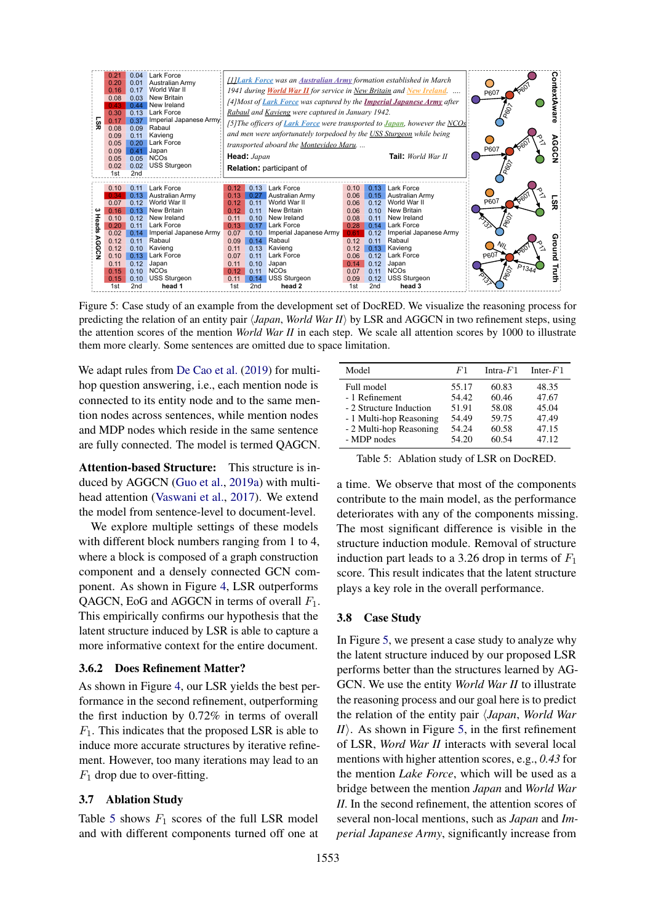<span id="page-7-1"></span>

Figure 5: Case study of an example from the development set of DocRED. We visualize the reasoning process for predicting the relation of an entity pair  $\langle Japan, World War II \rangle$  by LSR and AGGCN in two refinement steps, using the attention scores of the mention *World War II* in each step. We scale all attention scores by 1000 to illustrate them more clearly. Some sentences are omitted due to space limitation.

We adapt rules from [De Cao et al.](#page-9-21) [\(2019\)](#page-9-21) for multihop question answering, i.e., each mention node is connected to its entity node and to the same mention nodes across sentences, while mention nodes and MDP nodes which reside in the same sentence are fully connected. The model is termed QAGCN.

Attention-based Structure: This structure is induced by AGGCN [\(Guo et al.,](#page-9-18) [2019a\)](#page-9-18) with multihead attention [\(Vaswani et al.,](#page-10-21) [2017\)](#page-10-21). We extend the model from sentence-level to document-level.

We explore multiple settings of these models with different block numbers ranging from 1 to 4, where a block is composed of a graph construction component and a densely connected GCN component. As shown in Figure [4,](#page-6-2) LSR outperforms QAGCN, EoG and AGGCN in terms of overall  $F_1$ . This empirically confirms our hypothesis that the latent structure induced by LSR is able to capture a more informative context for the entire document.

### 3.6.2 Does Refinement Matter?

As shown in Figure [4,](#page-6-2) our LSR yields the best performance in the second refinement, outperforming the first induction by 0.72% in terms of overall  $F_1$ . This indicates that the proposed LSR is able to induce more accurate structures by iterative refinement. However, too many iterations may lead to an  $F_1$  drop due to over-fitting.

#### 3.7 Ablation Study

Table [5](#page-7-0) shows  $F_1$  scores of the full LSR model and with different components turned off one at

<span id="page-7-0"></span>

| Model                   | F1    | Intra- $F1$ | Inter- $F1$ |
|-------------------------|-------|-------------|-------------|
| Full model              | 55.17 | 60.83       | 48.35       |
| - 1 Refinement          | 54.42 | 60.46       | 47.67       |
| - 2 Structure Induction | 51.91 | 58.08       | 45.04       |
| - 1 Multi-hop Reasoning | 54.49 | 59.75       | 47.49       |
| - 2 Multi-hop Reasoning | 54.24 | 60.58       | 47.15       |
| - MDP nodes             | 54.20 | 60.54       | 47.12       |

Table 5: Ablation study of LSR on DocRED.

a time. We observe that most of the components contribute to the main model, as the performance deteriorates with any of the components missing. The most significant difference is visible in the structure induction module. Removal of structure induction part leads to a 3.26 drop in terms of  $F_1$ score. This result indicates that the latent structure plays a key role in the overall performance.

#### 3.8 Case Study

In Figure [5,](#page-7-1) we present a case study to analyze why the latent structure induced by our proposed LSR performs better than the structures learned by AG-GCN. We use the entity *World War II* to illustrate the reasoning process and our goal here is to predict the relation of the entity pair h*Japan*, *World War . As shown in Figure [5,](#page-7-1) in the first refinement* of LSR, *Word War II* interacts with several local mentions with higher attention scores, e.g., *0.43* for the mention *Lake Force*, which will be used as a bridge between the mention *Japan* and *World War II*. In the second refinement, the attention scores of several non-local mentions, such as *Japan* and *Imperial Japanese Army*, significantly increase from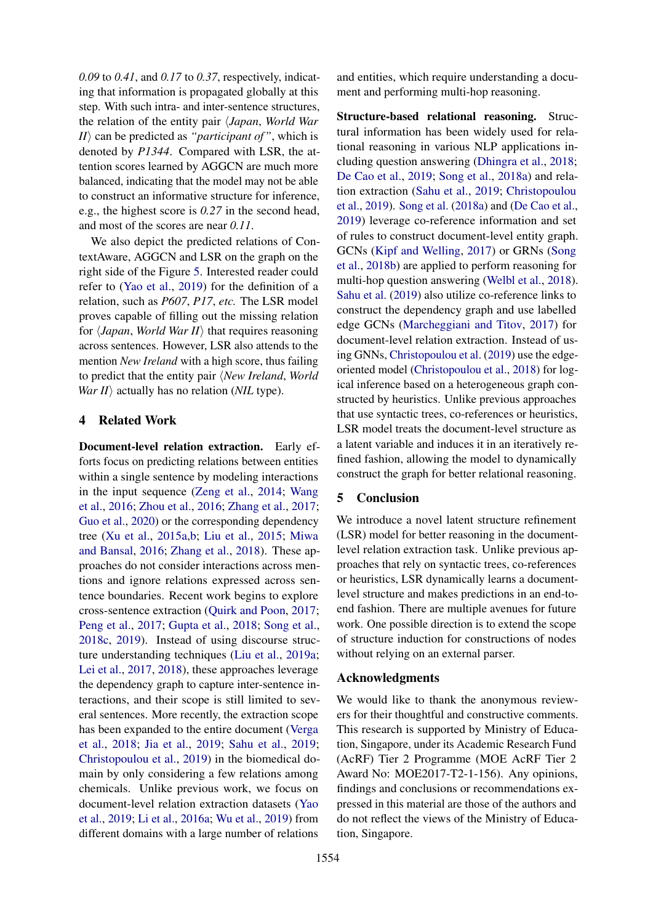*0.09* to *0.41*, and *0.17* to *0.37*, respectively, indicating that information is propagated globally at this step. With such intra- and inter-sentence structures, the relation of the entity pair h*Japan*, *World War*  $I/I\rangle$  can be predicted as *"participant of"*, which is denoted by *P1344*. Compared with LSR, the attention scores learned by AGGCN are much more balanced, indicating that the model may not be able to construct an informative structure for inference, e.g., the highest score is *0.27* in the second head, and most of the scores are near *0.11*.

We also depict the predicted relations of ContextAware, AGGCN and LSR on the graph on the right side of the Figure [5.](#page-7-1) Interested reader could refer to [\(Yao et al.,](#page-11-3) [2019\)](#page-11-3) for the definition of a relation, such as *P607*, *P17*, *etc.* The LSR model proves capable of filling out the missing relation for  $\langle Japan, World War II \rangle$  that requires reasoning across sentences. However, LSR also attends to the mention *New Ireland* with a high score, thus failing to predict that the entity pair *\New Ireland*, *World War II* $\rangle$  actually has no relation (*NIL* type).

# 4 Related Work

Document-level relation extraction. Early efforts focus on predicting relations between entities within a single sentence by modeling interactions in the input sequence [\(Zeng et al.,](#page-11-0) [2014;](#page-11-0) [Wang](#page-10-22) [et al.,](#page-10-22) [2016;](#page-10-22) [Zhou et al.,](#page-11-8) [2016;](#page-11-8) [Zhang et al.,](#page-11-9) [2017;](#page-11-9) [Guo et al.,](#page-9-22) [2020\)](#page-9-22) or the corresponding dependency tree [\(Xu et al.,](#page-11-1) [2015a](#page-11-1)[,b;](#page-11-2) [Liu et al.,](#page-10-23) [2015;](#page-10-23) [Miwa](#page-10-24) [and Bansal,](#page-10-24) [2016;](#page-10-24) [Zhang et al.,](#page-11-6) [2018\)](#page-11-6). These approaches do not consider interactions across mentions and ignore relations expressed across sentence boundaries. Recent work begins to explore cross-sentence extraction [\(Quirk and Poon,](#page-10-1) [2017;](#page-10-1) [Peng et al.,](#page-10-0) [2017;](#page-10-0) [Gupta et al.,](#page-9-0) [2018;](#page-9-0) [Song et al.,](#page-10-25) [2018c,](#page-10-25) [2019\)](#page-10-2). Instead of using discourse structure understanding techniques [\(Liu et al.,](#page-9-23) [2019a;](#page-9-23) [Lei et al.,](#page-9-24) [2017,](#page-9-24) [2018\)](#page-9-25), these approaches leverage the dependency graph to capture inter-sentence interactions, and their scope is still limited to several sentences. More recently, the extraction scope has been expanded to the entire document [\(Verga](#page-10-3) [et al.,](#page-10-3) [2018;](#page-10-3) [Jia et al.,](#page-9-1) [2019;](#page-9-1) [Sahu et al.,](#page-10-6) [2019;](#page-10-6) [Christopoulou et al.,](#page-9-2) [2019\)](#page-9-2) in the biomedical domain by only considering a few relations among chemicals. Unlike previous work, we focus on document-level relation extraction datasets [\(Yao](#page-11-3) [et al.,](#page-11-3) [2019;](#page-11-3) [Li et al.,](#page-9-14) [2016a;](#page-9-14) [Wu et al.,](#page-11-5) [2019\)](#page-11-5) from different domains with a large number of relations

and entities, which require understanding a document and performing multi-hop reasoning.

Structure-based relational reasoning. Structural information has been widely used for relational reasoning in various NLP applications including question answering [\(Dhingra et al.,](#page-9-26) [2018;](#page-9-26) [De Cao et al.,](#page-9-21) [2019;](#page-9-21) [Song et al.,](#page-10-11) [2018a\)](#page-10-11) and relation extraction [\(Sahu et al.,](#page-10-6) [2019;](#page-10-6) [Christopoulou](#page-9-2) [et al.,](#page-9-2) [2019\)](#page-9-2). [Song et al.](#page-10-11) [\(2018a\)](#page-10-11) and [\(De Cao et al.,](#page-9-21) [2019\)](#page-9-21) leverage co-reference information and set of rules to construct document-level entity graph. GCNs [\(Kipf and Welling,](#page-9-10) [2017\)](#page-9-10) or GRNs [\(Song](#page-10-26) [et al.,](#page-10-26) [2018b\)](#page-10-26) are applied to perform reasoning for multi-hop question answering [\(Welbl et al.,](#page-10-8) [2018\)](#page-10-8). [Sahu et al.](#page-10-6) [\(2019\)](#page-10-6) also utilize co-reference links to construct the dependency graph and use labelled edge GCNs [\(Marcheggiani and Titov,](#page-10-27) [2017\)](#page-10-27) for document-level relation extraction. Instead of using GNNs, [Christopoulou et al.](#page-9-2) [\(2019\)](#page-9-2) use the edgeoriented model [\(Christopoulou et al.,](#page-9-3) [2018\)](#page-9-3) for logical inference based on a heterogeneous graph constructed by heuristics. Unlike previous approaches that use syntactic trees, co-references or heuristics, LSR model treats the document-level structure as a latent variable and induces it in an iteratively refined fashion, allowing the model to dynamically construct the graph for better relational reasoning.

# 5 Conclusion

We introduce a novel latent structure refinement (LSR) model for better reasoning in the documentlevel relation extraction task. Unlike previous approaches that rely on syntactic trees, co-references or heuristics, LSR dynamically learns a documentlevel structure and makes predictions in an end-toend fashion. There are multiple avenues for future work. One possible direction is to extend the scope of structure induction for constructions of nodes without relying on an external parser.

# Acknowledgments

We would like to thank the anonymous reviewers for their thoughtful and constructive comments. This research is supported by Ministry of Education, Singapore, under its Academic Research Fund (AcRF) Tier 2 Programme (MOE AcRF Tier 2 Award No: MOE2017-T2-1-156). Any opinions, findings and conclusions or recommendations expressed in this material are those of the authors and do not reflect the views of the Ministry of Education, Singapore.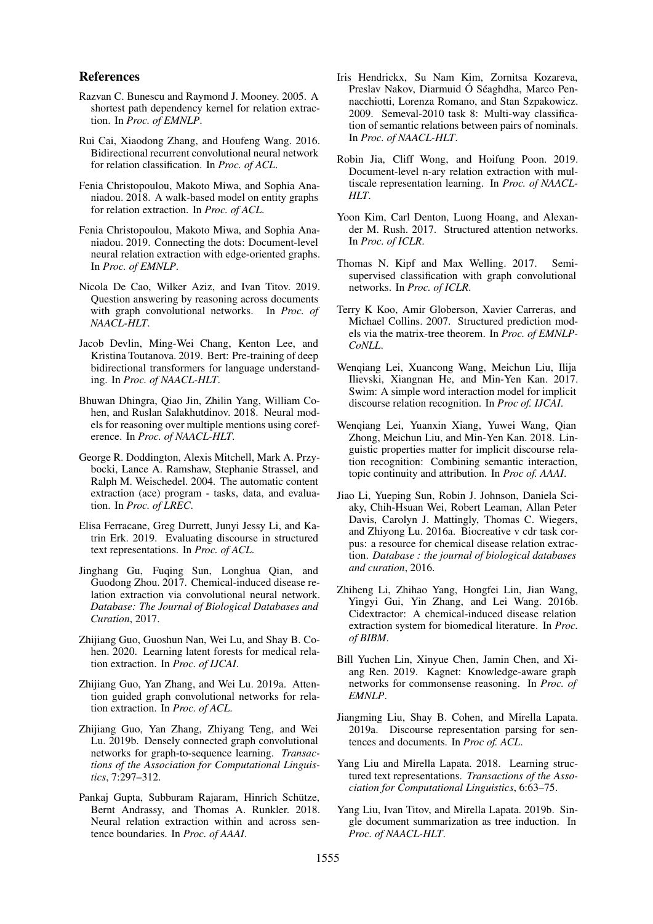#### References

- <span id="page-9-8"></span>Razvan C. Bunescu and Raymond J. Mooney. 2005. A shortest path dependency kernel for relation extraction. In *Proc. of EMNLP*.
- <span id="page-9-17"></span>Rui Cai, Xiaodong Zhang, and Houfeng Wang. 2016. Bidirectional recurrent convolutional neural network for relation classification. In *Proc. of ACL*.
- <span id="page-9-3"></span>Fenia Christopoulou, Makoto Miwa, and Sophia Ananiadou. 2018. A walk-based model on entity graphs for relation extraction. In *Proc. of ACL*.
- <span id="page-9-2"></span>Fenia Christopoulou, Makoto Miwa, and Sophia Ananiadou. 2019. Connecting the dots: Document-level neural relation extraction with edge-oriented graphs. In *Proc. of EMNLP*.
- <span id="page-9-21"></span>Nicola De Cao, Wilker Aziz, and Ivan Titov. 2019. Question answering by reasoning across documents with graph convolutional networks. In *Proc. of NAACL-HLT*.
- <span id="page-9-7"></span>Jacob Devlin, Ming-Wei Chang, Kenton Lee, and Kristina Toutanova. 2019. Bert: Pre-training of deep bidirectional transformers for language understanding. In *Proc. of NAACL-HLT*.
- <span id="page-9-26"></span>Bhuwan Dhingra, Qiao Jin, Zhilin Yang, William Cohen, and Ruslan Salakhutdinov. 2018. Neural models for reasoning over multiple mentions using coreference. In *Proc. of NAACL-HLT*.
- <span id="page-9-15"></span>George R. Doddington, Alexis Mitchell, Mark A. Przybocki, Lance A. Ramshaw, Stephanie Strassel, and Ralph M. Weischedel. 2004. The automatic content extraction (ace) program - tasks, data, and evaluation. In *Proc. of LREC*.
- <span id="page-9-13"></span>Elisa Ferracane, Greg Durrett, Junyi Jessy Li, and Katrin Erk. 2019. Evaluating discourse in structured text representations. In *Proc. of ACL*.
- <span id="page-9-19"></span>Jinghang Gu, Fuqing Sun, Longhua Qian, and Guodong Zhou. 2017. Chemical-induced disease relation extraction via convolutional neural network. *Database: The Journal of Biological Databases and Curation*, 2017.
- <span id="page-9-22"></span>Zhijiang Guo, Guoshun Nan, Wei Lu, and Shay B. Cohen. 2020. Learning latent forests for medical relation extraction. In *Proc. of IJCAI*.
- <span id="page-9-18"></span>Zhijiang Guo, Yan Zhang, and Wei Lu. 2019a. Attention guided graph convolutional networks for relation extraction. In *Proc. of ACL*.
- <span id="page-9-11"></span>Zhijiang Guo, Yan Zhang, Zhiyang Teng, and Wei Lu. 2019b. Densely connected graph convolutional networks for graph-to-sequence learning. *Transactions of the Association for Computational Linguistics*, 7:297–312.
- <span id="page-9-0"></span>Pankaj Gupta, Subburam Rajaram, Hinrich Schütze, Bernt Andrassy, and Thomas A. Runkler. 2018. Neural relation extraction within and across sentence boundaries. In *Proc. of AAAI*.
- <span id="page-9-16"></span>Iris Hendrickx, Su Nam Kim, Zornitsa Kozareva, Preslav Nakov, Diarmuid Ó Séaghdha, Marco Pennacchiotti, Lorenza Romano, and Stan Szpakowicz. 2009. Semeval-2010 task 8: Multi-way classification of semantic relations between pairs of nominals. In *Proc. of NAACL-HLT*.
- <span id="page-9-1"></span>Robin Jia, Cliff Wong, and Hoifung Poon. 2019. Document-level n-ary relation extraction with multiscale representation learning. In *Proc. of NAACL-HLT*.
- <span id="page-9-4"></span>Yoon Kim, Carl Denton, Luong Hoang, and Alexander M. Rush. 2017. Structured attention networks. In *Proc. of ICLR*.
- <span id="page-9-10"></span>Thomas N. Kipf and Max Welling. 2017. Semisupervised classification with graph convolutional networks. In *Proc. of ICLR*.
- <span id="page-9-6"></span>Terry K Koo, Amir Globerson, Xavier Carreras, and Michael Collins. 2007. Structured prediction models via the matrix-tree theorem. In *Proc. of EMNLP-CoNLL*.
- <span id="page-9-24"></span>Wenqiang Lei, Xuancong Wang, Meichun Liu, Ilija Ilievski, Xiangnan He, and Min-Yen Kan. 2017. Swim: A simple word interaction model for implicit discourse relation recognition. In *Proc of. IJCAI*.
- <span id="page-9-25"></span>Wenqiang Lei, Yuanxin Xiang, Yuwei Wang, Qian Zhong, Meichun Liu, and Min-Yen Kan. 2018. Linguistic properties matter for implicit discourse relation recognition: Combining semantic interaction, topic continuity and attribution. In *Proc of. AAAI*.
- <span id="page-9-14"></span>Jiao Li, Yueping Sun, Robin J. Johnson, Daniela Sciaky, Chih-Hsuan Wei, Robert Leaman, Allan Peter Davis, Carolyn J. Mattingly, Thomas C. Wiegers, and Zhiyong Lu. 2016a. Biocreative v cdr task corpus: a resource for chemical disease relation extraction. *Database : the journal of biological databases and curation*, 2016.
- <span id="page-9-20"></span>Zhiheng Li, Zhihao Yang, Hongfei Lin, Jian Wang, Yingyi Gui, Yin Zhang, and Lei Wang. 2016b. Cidextractor: A chemical-induced disease relation extraction system for biomedical literature. In *Proc. of BIBM*.
- <span id="page-9-9"></span>Bill Yuchen Lin, Xinyue Chen, Jamin Chen, and Xiang Ren. 2019. Kagnet: Knowledge-aware graph networks for commonsense reasoning. In *Proc. of EMNLP*.
- <span id="page-9-23"></span>Jiangming Liu, Shay B. Cohen, and Mirella Lapata. 2019a. Discourse representation parsing for sentences and documents. In *Proc of. ACL*.
- <span id="page-9-5"></span>Yang Liu and Mirella Lapata. 2018. Learning structured text representations. *Transactions of the Association for Computational Linguistics*, 6:63–75.
- <span id="page-9-12"></span>Yang Liu, Ivan Titov, and Mirella Lapata. 2019b. Single document summarization as tree induction. In *Proc. of NAACL-HLT*.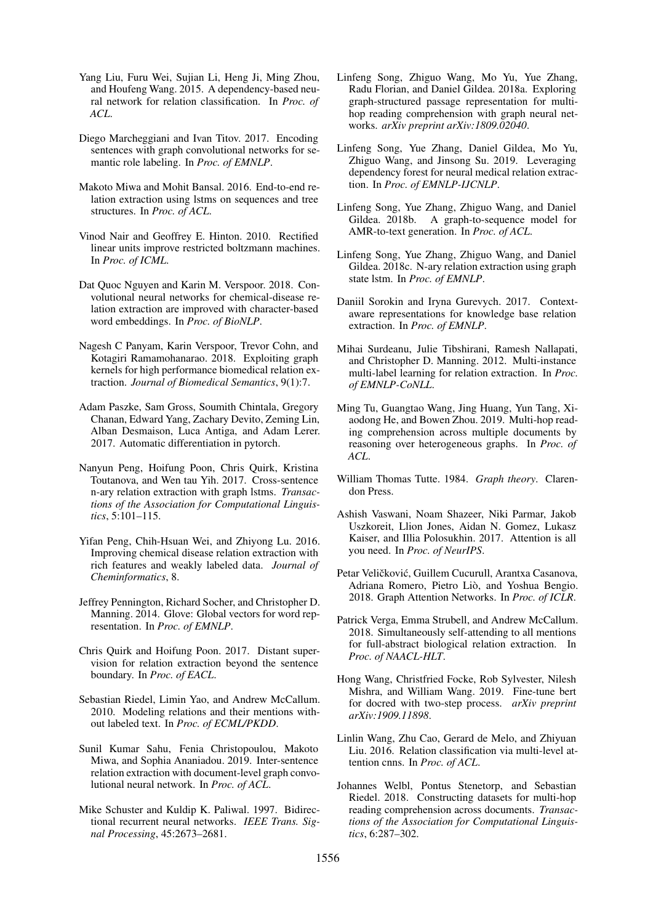- <span id="page-10-23"></span>Yang Liu, Furu Wei, Sujian Li, Heng Ji, Ming Zhou, and Houfeng Wang. 2015. A dependency-based neural network for relation classification. In *Proc. of ACL*.
- <span id="page-10-27"></span>Diego Marcheggiani and Ivan Titov. 2017. Encoding sentences with graph convolutional networks for semantic role labeling. In *Proc. of EMNLP*.
- <span id="page-10-24"></span>Makoto Miwa and Mohit Bansal. 2016. End-to-end relation extraction using lstms on sequences and tree structures. In *Proc. of ACL*.
- <span id="page-10-13"></span>Vinod Nair and Geoffrey E. Hinton. 2010. Rectified linear units improve restricted boltzmann machines. In *Proc. of ICML*.
- <span id="page-10-18"></span>Dat Quoc Nguyen and Karin M. Verspoor. 2018. Convolutional neural networks for chemical-disease relation extraction are improved with character-based word embeddings. In *Proc. of BioNLP*.
- <span id="page-10-20"></span>Nagesh C Panyam, Karin Verspoor, Trevor Cohn, and Kotagiri Ramamohanarao. 2018. Exploiting graph kernels for high performance biomedical relation extraction. *Journal of Biomedical Semantics*, 9(1):7.
- <span id="page-10-9"></span>Adam Paszke, Sam Gross, Soumith Chintala, Gregory Chanan, Edward Yang, Zachary Devito, Zeming Lin, Alban Desmaison, Luca Antiga, and Adam Lerer. 2017. Automatic differentiation in pytorch.
- <span id="page-10-0"></span>Nanyun Peng, Hoifung Poon, Chris Quirk, Kristina Toutanova, and Wen tau Yih. 2017. Cross-sentence n-ary relation extraction with graph lstms. *Transactions of the Association for Computational Linguistics*, 5:101–115.
- <span id="page-10-19"></span>Yifan Peng, Chih-Hsuan Wei, and Zhiyong Lu. 2016. Improving chemical disease relation extraction with rich features and weakly labeled data. *Journal of Cheminformatics*, 8.
- <span id="page-10-15"></span>Jeffrey Pennington, Richard Socher, and Christopher D. Manning. 2014. Glove: Global vectors for word representation. In *Proc. of EMNLP*.
- <span id="page-10-1"></span>Chris Quirk and Hoifung Poon. 2017. Distant supervision for relation extraction beyond the sentence boundary. In *Proc. of EACL*.
- <span id="page-10-4"></span>Sebastian Riedel, Limin Yao, and Andrew McCallum. 2010. Modeling relations and their mentions without labeled text. In *Proc. of ECML/PKDD*.
- <span id="page-10-6"></span>Sunil Kumar Sahu, Fenia Christopoulou, Makoto Miwa, and Sophia Ananiadou. 2019. Inter-sentence relation extraction with document-level graph convolutional neural network. In *Proc. of ACL*.
- <span id="page-10-10"></span>Mike Schuster and Kuldip K. Paliwal. 1997. Bidirectional recurrent neural networks. *IEEE Trans. Signal Processing*, 45:2673–2681.
- <span id="page-10-11"></span>Linfeng Song, Zhiguo Wang, Mo Yu, Yue Zhang, Radu Florian, and Daniel Gildea. 2018a. Exploring graph-structured passage representation for multihop reading comprehension with graph neural networks. *arXiv preprint arXiv:1809.02040*.
- <span id="page-10-2"></span>Linfeng Song, Yue Zhang, Daniel Gildea, Mo Yu, Zhiguo Wang, and Jinsong Su. 2019. Leveraging dependency forest for neural medical relation extraction. In *Proc. of EMNLP-IJCNLP*.
- <span id="page-10-26"></span>Linfeng Song, Yue Zhang, Zhiguo Wang, and Daniel Gildea. 2018b. A graph-to-sequence model for AMR-to-text generation. In *Proc. of ACL*.
- <span id="page-10-25"></span>Linfeng Song, Yue Zhang, Zhiguo Wang, and Daniel Gildea. 2018c. N-ary relation extraction using graph state lstm. In *Proc. of EMNLP*.
- <span id="page-10-16"></span>Daniil Sorokin and Iryna Gurevych. 2017. Contextaware representations for knowledge base relation extraction. In *Proc. of EMNLP*.
- <span id="page-10-5"></span>Mihai Surdeanu, Julie Tibshirani, Ramesh Nallapati, and Christopher D. Manning. 2012. Multi-instance multi-label learning for relation extraction. In *Proc. of EMNLP-CoNLL*.
- <span id="page-10-12"></span>Ming Tu, Guangtao Wang, Jing Huang, Yun Tang, Xiaodong He, and Bowen Zhou. 2019. Multi-hop reading comprehension across multiple documents by reasoning over heterogeneous graphs. In *Proc. of ACL*.
- <span id="page-10-7"></span>William Thomas Tutte. 1984. *Graph theory*. Clarendon Press.
- <span id="page-10-21"></span>Ashish Vaswani, Noam Shazeer, Niki Parmar, Jakob Uszkoreit, Llion Jones, Aidan N. Gomez, Lukasz Kaiser, and Illia Polosukhin. 2017. Attention is all you need. In *Proc. of NeurIPS*.
- <span id="page-10-17"></span>Petar Veličković, Guillem Cucurull, Arantxa Casanova, Adriana Romero, Pietro Liò, and Yoshua Bengio. 2018. Graph Attention Networks. In *Proc. of ICLR*.
- <span id="page-10-3"></span>Patrick Verga, Emma Strubell, and Andrew McCallum. 2018. Simultaneously self-attending to all mentions for full-abstract biological relation extraction. In *Proc. of NAACL-HLT*.
- <span id="page-10-14"></span>Hong Wang, Christfried Focke, Rob Sylvester, Nilesh Mishra, and William Wang. 2019. Fine-tune bert for docred with two-step process. *arXiv preprint arXiv:1909.11898*.
- <span id="page-10-22"></span>Linlin Wang, Zhu Cao, Gerard de Melo, and Zhiyuan Liu. 2016. Relation classification via multi-level attention cnns. In *Proc. of ACL*.
- <span id="page-10-8"></span>Johannes Welbl, Pontus Stenetorp, and Sebastian Riedel. 2018. Constructing datasets for multi-hop reading comprehension across documents. *Transactions of the Association for Computational Linguistics*, 6:287–302.